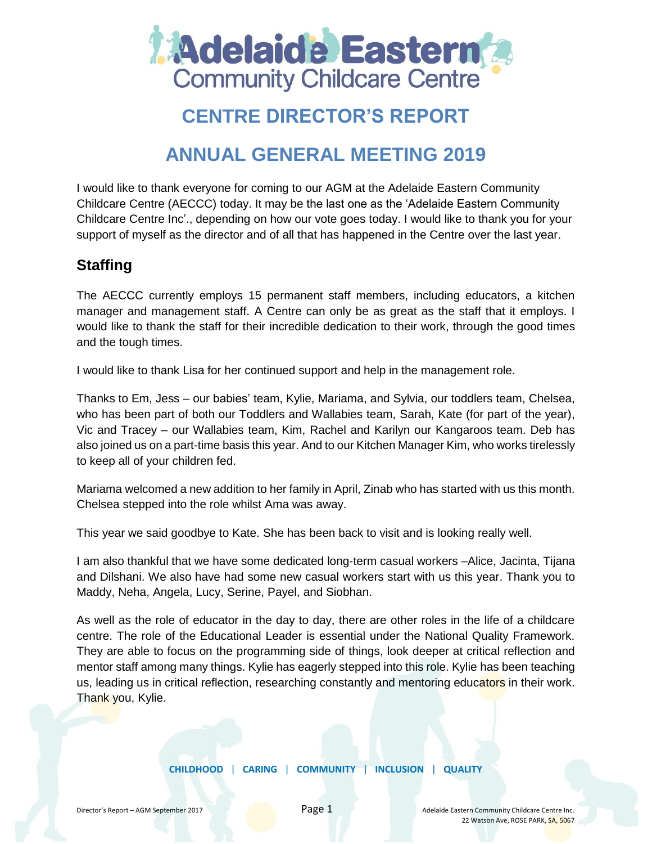

# **CENTRE DIRECTOR'S REPORT**

## **ANNUAL GENERAL MEETING 2019**

I would like to thank everyone for coming to our AGM at the Adelaide Eastern Community Childcare Centre (AECCC) today. It may be the last one as the 'Adelaide Eastern Community Childcare Centre Inc'., depending on how our vote goes today. I would like to thank you for your support of myself as the director and of all that has happened in the Centre over the last year.

## **Staffing**

The AECCC currently employs 15 permanent staff members, including educators, a kitchen manager and management staff. A Centre can only be as great as the staff that it employs. I would like to thank the staff for their incredible dedication to their work, through the good times and the tough times.

I would like to thank Lisa for her continued support and help in the management role.

Thanks to Em, Jess – our babies' team, Kylie, Mariama, and Sylvia, our toddlers team, Chelsea, who has been part of both our Toddlers and Wallabies team, Sarah, Kate (for part of the year), Vic and Tracey – our Wallabies team, Kim, Rachel and Karilyn our Kangaroos team. Deb has also joined us on a part-time basis this year. And to our Kitchen Manager Kim, who works tirelessly to keep all of your children fed.

Mariama welcomed a new addition to her family in April, Zinab who has started with us this month. Chelsea stepped into the role whilst Ama was away.

This year we said goodbye to Kate. She has been back to visit and is looking really well.

I am also thankful that we have some dedicated long-term casual workers –Alice, Jacinta, Tijana and Dilshani. We also have had some new casual workers start with us this year. Thank you to Maddy, Neha, Angela, Lucy, Serine, Payel, and Siobhan.

As well as the role of educator in the day to day, there are other roles in the life of a childcare centre. The role of the Educational Leader is essential under the National Quality Framework. They are able to focus on the programming side of things, look deeper at critical reflection and mentor staff among many things. Kylie has eagerly stepped into this role. Kylie has been teaching us, leading us in critical reflection, researching constantly and mentoring educators in their work. Thank you, Kylie.

**CHILDHOOD** | **CARING** | **COMMUNITY** | **INCLUSION** | **QUALITY**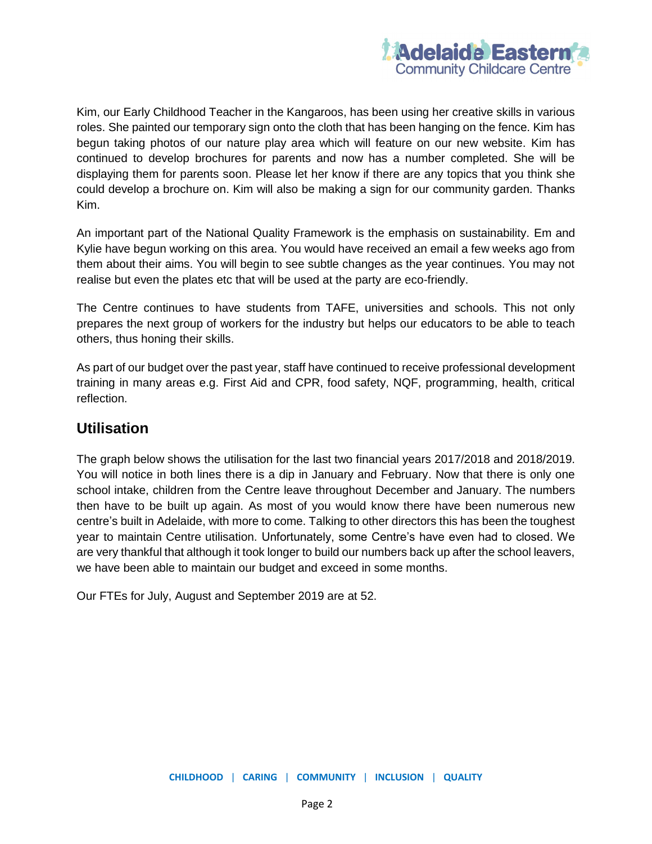

Kim, our Early Childhood Teacher in the Kangaroos, has been using her creative skills in various roles. She painted our temporary sign onto the cloth that has been hanging on the fence. Kim has begun taking photos of our nature play area which will feature on our new website. Kim has continued to develop brochures for parents and now has a number completed. She will be displaying them for parents soon. Please let her know if there are any topics that you think she could develop a brochure on. Kim will also be making a sign for our community garden. Thanks Kim.

An important part of the National Quality Framework is the emphasis on sustainability. Em and Kylie have begun working on this area. You would have received an email a few weeks ago from them about their aims. You will begin to see subtle changes as the year continues. You may not realise but even the plates etc that will be used at the party are eco-friendly.

The Centre continues to have students from TAFE, universities and schools. This not only prepares the next group of workers for the industry but helps our educators to be able to teach others, thus honing their skills.

As part of our budget over the past year, staff have continued to receive professional development training in many areas e.g. First Aid and CPR, food safety, NQF, programming, health, critical reflection.

#### **Utilisation**

The graph below shows the utilisation for the last two financial years 2017/2018 and 2018/2019. You will notice in both lines there is a dip in January and February. Now that there is only one school intake, children from the Centre leave throughout December and January. The numbers then have to be built up again. As most of you would know there have been numerous new centre's built in Adelaide, with more to come. Talking to other directors this has been the toughest year to maintain Centre utilisation. Unfortunately, some Centre's have even had to closed. We are very thankful that although it took longer to build our numbers back up after the school leavers, we have been able to maintain our budget and exceed in some months.

Our FTEs for July, August and September 2019 are at 52.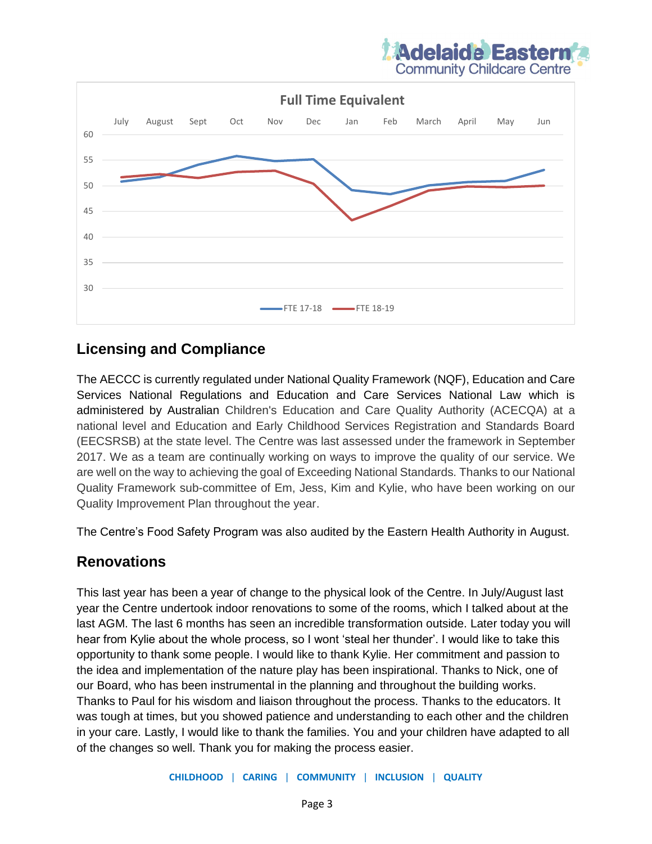



#### **Licensing and Compliance**

The AECCC is currently regulated under National Quality Framework (NQF), Education and Care Services National Regulations and Education and Care Services National Law which is administered by Australian Children's Education and Care Quality Authority (ACECQA) at a national level and Education and Early Childhood Services Registration and Standards Board (EECSRSB) at the state level. The Centre was last assessed under the framework in September 2017. We as a team are continually working on ways to improve the quality of our service. We are well on the way to achieving the goal of Exceeding National Standards. Thanks to our National Quality Framework sub-committee of Em, Jess, Kim and Kylie, who have been working on our Quality Improvement Plan throughout the year.

The Centre's Food Safety Program was also audited by the Eastern Health Authority in August.

### **Renovations**

This last year has been a year of change to the physical look of the Centre. In July/August last year the Centre undertook indoor renovations to some of the rooms, which I talked about at the last AGM. The last 6 months has seen an incredible transformation outside. Later today you will hear from Kylie about the whole process, so I wont 'steal her thunder'. I would like to take this opportunity to thank some people. I would like to thank Kylie. Her commitment and passion to the idea and implementation of the nature play has been inspirational. Thanks to Nick, one of our Board, who has been instrumental in the planning and throughout the building works. Thanks to Paul for his wisdom and liaison throughout the process. Thanks to the educators. It was tough at times, but you showed patience and understanding to each other and the children in your care. Lastly, I would like to thank the families. You and your children have adapted to all of the changes so well. Thank you for making the process easier.

**CHILDHOOD** | **CARING** | **COMMUNITY** | **INCLUSION** | **QUALITY**